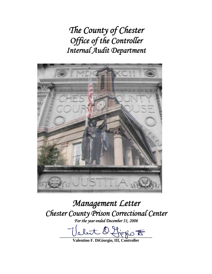*The County of Chester Office of the Controller Internal Audit Department* 



*Management Letter Chester County Prison Correctional Center For the year ended December 31, 2006* 

0. t D. Livrio E

**Valentino F. DiGiorgio, III, Controller**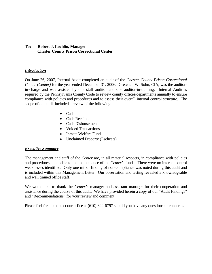# **To: Robert J. Cochlin, Manager Chester County Prison Correctional Center**

# *Introduction*

On June 26, 2007, Internal Audit completed an audit of the *Chester County Prison Correctional Center (Center)* for the year ended December 31, 2006. Gretchen W. Sohn, CIA, was the auditorin-charge and was assisted by one staff auditor and one auditor-in-training. Internal Audit is required by the Pennsylvania County Code to review county offices/departments annually to ensure compliance with policies and procedures and to assess their overall internal control structure. The scope of our audit included a review of the following:

- Cash
- Cash Receipts
- Cash Disbursements
- Voided Transactions
- Inmate Welfare Fund
- Unclaimed Property (Escheats)

### *Executive Summary*

The management and staff of the *Center* are, in all material respects, in compliance with policies and procedures applicable to the maintenance of the *Center's* funds. There were no internal control weaknesses identified. Only one minor finding of non-compliance was noted during this audit and is included within this Management Letter. Our observation and testing revealed a knowledgeable and well trained office staff.

We would like to thank the *Center's* manager and assistant manager for their cooperation and assistance during the course of this audit. We have provided herein a copy of our "Audit Findings" and "Recommendations" for your review and comment.

Please feel free to contact our office at (610) 344-6797 should you have any questions or concerns.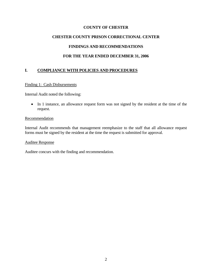### **COUNTY OF CHESTER**

# **CHESTER COUNTY PRISON CORRECTIONAL CENTER**

### **FINDINGS AND RECOMMENDATIONS**

### **FOR THE YEAR ENDED DECEMBER 31, 2006**

# **I. COMPLIANCE WITH POLICIES AND PROCEDURES**

#### Finding 1: Cash Disbursements

Internal Audit noted the following:

• In 1 instance, an allowance request form was not signed by the resident at the time of the request.

#### Recommendation

Internal Audit recommends that management reemphasize to the staff that all allowance request forms must be signed by the resident at the time the request is submitted for approval.

#### Auditee Response

Auditee concurs with the finding and recommendation.